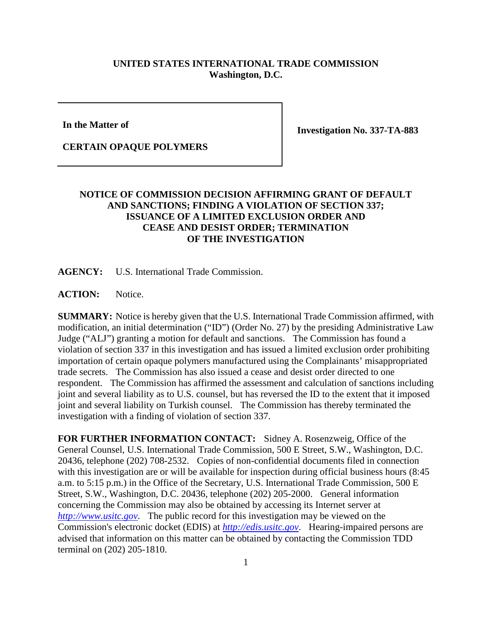## **UNITED STATES INTERNATIONAL TRADE COMMISSION Washington, D.C.**

**In the Matter of**

**Investigation No. 337-TA-883**

## **CERTAIN OPAQUE POLYMERS**

## **NOTICE OF COMMISSION DECISION AFFIRMING GRANT OF DEFAULT AND SANCTIONS; FINDING A VIOLATION OF SECTION 337; ISSUANCE OF A LIMITED EXCLUSION ORDER AND CEASE AND DESIST ORDER; TERMINATION OF THE INVESTIGATION**

**AGENCY:** U.S. International Trade Commission.

**ACTION:** Notice.

**SUMMARY:** Notice is hereby given that the U.S. International Trade Commission affirmed, with modification, an initial determination ("ID") (Order No. 27) by the presiding Administrative Law Judge ("ALJ") granting a motion for default and sanctions. The Commission has found a violation of section 337 in this investigation and has issued a limited exclusion order prohibiting importation of certain opaque polymers manufactured using the Complainants' misappropriated trade secrets. The Commission has also issued a cease and desist order directed to one respondent. The Commission has affirmed the assessment and calculation of sanctions including joint and several liability as to U.S. counsel, but has reversed the ID to the extent that it imposed joint and several liability on Turkish counsel. The Commission has thereby terminated the investigation with a finding of violation of section 337.

**FOR FURTHER INFORMATION CONTACT:** Sidney A. Rosenzweig, Office of the General Counsel, U.S. International Trade Commission, 500 E Street, S.W., Washington, D.C. 20436, telephone (202) 708-2532. Copies of non-confidential documents filed in connection with this investigation are or will be available for inspection during official business hours (8:45 a.m. to 5:15 p.m.) in the Office of the Secretary, U.S. International Trade Commission, 500 E Street, S.W., Washington, D.C. 20436, telephone (202) 205-2000. General information concerning the Commission may also be obtained by accessing its Internet server at *[http://www.usitc.gov](http://www.usitc.gov/)*. The public record for this investigation may be viewed on the Commission's electronic docket (EDIS) at *[http://edis.usitc.gov](http://edis.usitc.gov/)*. Hearing-impaired persons are advised that information on this matter can be obtained by contacting the Commission TDD terminal on (202) 205-1810.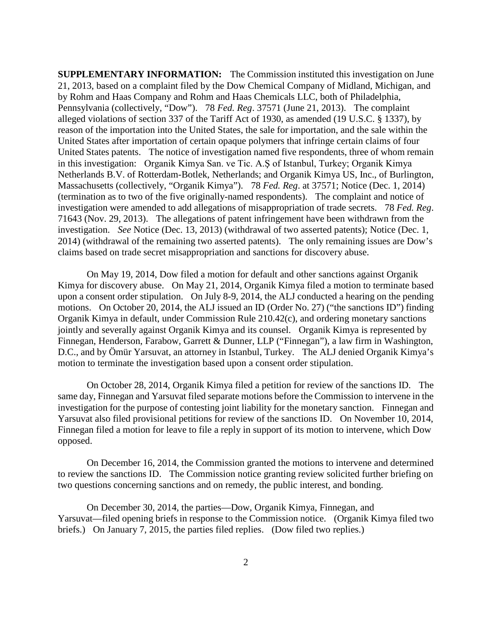**SUPPLEMENTARY INFORMATION:** The Commission instituted this investigation on June 21, 2013, based on a complaint filed by the Dow Chemical Company of Midland, Michigan, and by Rohm and Haas Company and Rohm and Haas Chemicals LLC, both of Philadelphia, Pennsylvania (collectively, "Dow"). 78 *Fed. Reg*. 37571 (June 21, 2013). The complaint alleged violations of section 337 of the Tariff Act of 1930, as amended (19 U.S.C. § 1337), by reason of the importation into the United States, the sale for importation, and the sale within the United States after importation of certain opaque polymers that infringe certain claims of four United States patents. The notice of investigation named five respondents, three of whom remain in this investigation: Organik Kimya San. ve Tic. A.Ş of Istanbul, Turkey; Organik Kimya Netherlands B.V. of Rotterdam-Botlek, Netherlands; and Organik Kimya US, Inc., of Burlington, Massachusetts (collectively, "Organik Kimya"). 78 *Fed. Reg*. at 37571; Notice (Dec. 1, 2014) (termination as to two of the five originally-named respondents). The complaint and notice of investigation were amended to add allegations of misappropriation of trade secrets. 78 *Fed. Reg*. 71643 (Nov. 29, 2013). The allegations of patent infringement have been withdrawn from the investigation. *See* Notice (Dec. 13, 2013) (withdrawal of two asserted patents); Notice (Dec. 1, 2014) (withdrawal of the remaining two asserted patents). The only remaining issues are Dow's claims based on trade secret misappropriation and sanctions for discovery abuse.

On May 19, 2014, Dow filed a motion for default and other sanctions against Organik Kimya for discovery abuse. On May 21, 2014, Organik Kimya filed a motion to terminate based upon a consent order stipulation. On July 8-9, 2014, the ALJ conducted a hearing on the pending motions. On October 20, 2014, the ALJ issued an ID (Order No. 27) ("the sanctions ID") finding Organik Kimya in default, under Commission Rule 210.42(c), and ordering monetary sanctions jointly and severally against Organik Kimya and its counsel. Organik Kimya is represented by Finnegan, Henderson, Farabow, Garrett & Dunner, LLP ("Finnegan"), a law firm in Washington, D.C., and by Ömür Yarsuvat, an attorney in Istanbul, Turkey. The ALJ denied Organik Kimya's motion to terminate the investigation based upon a consent order stipulation.

On October 28, 2014, Organik Kimya filed a petition for review of the sanctions ID. The same day, Finnegan and Yarsuvat filed separate motions before the Commission to intervene in the investigation for the purpose of contesting joint liability for the monetary sanction. Finnegan and Yarsuvat also filed provisional petitions for review of the sanctions ID. On November 10, 2014, Finnegan filed a motion for leave to file a reply in support of its motion to intervene, which Dow opposed.

On December 16, 2014, the Commission granted the motions to intervene and determined to review the sanctions ID. The Commission notice granting review solicited further briefing on two questions concerning sanctions and on remedy, the public interest, and bonding.

On December 30, 2014, the parties—Dow, Organik Kimya, Finnegan, and Yarsuvat—filed opening briefs in response to the Commission notice. (Organik Kimya filed two briefs.) On January 7, 2015, the parties filed replies. (Dow filed two replies.)